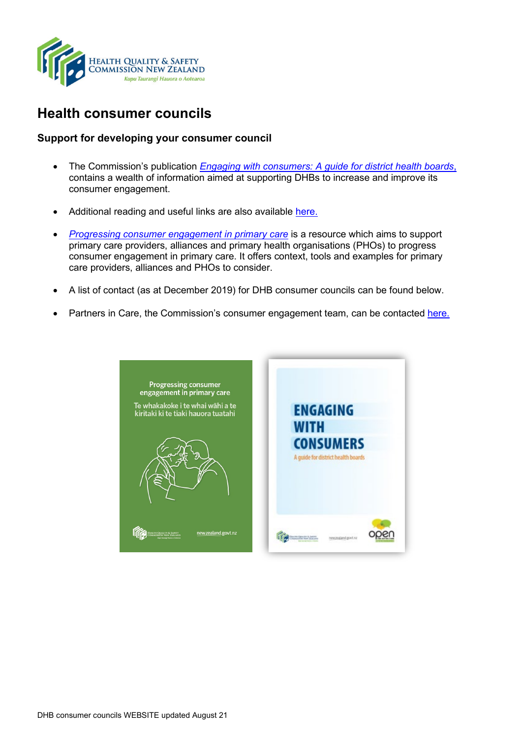

## **Health consumer councils**

## **Support for developing your consumer council**

- The Commission's publication *[Engaging with consumers: A guide for district health boards](https://www.hqsc.govt.nz/our-programmes/partners-in-care/publications-and-resources/publication/2162/)*, contains a wealth of information aimed at supporting DHBs to increase and improve its consumer engagement.
- Additional reading and useful links are also available [here.](http://www.hqsc.govt.nz/our-programmes/partners-in-care/publications-and-resources/publication/2163/)
- *[Progressing consumer engagement in primary care](https://www.hqsc.govt.nz/our-programmes/partners-in-care/publications-and-resources/publication/3777/)* is a resource which aims to support primary care providers, alliances and primary health organisations (PHOs) to progress consumer engagement in primary care. It offers context, tools and examples for primary care providers, alliances and PHOs to consider.
- A list of contact (as at December 2019) for DHB consumer councils can be found below.
- Partners in Care, the Commission's consumer engagement team, can be contacted [here.](mailto:consumers@hqsc.govt.nz)